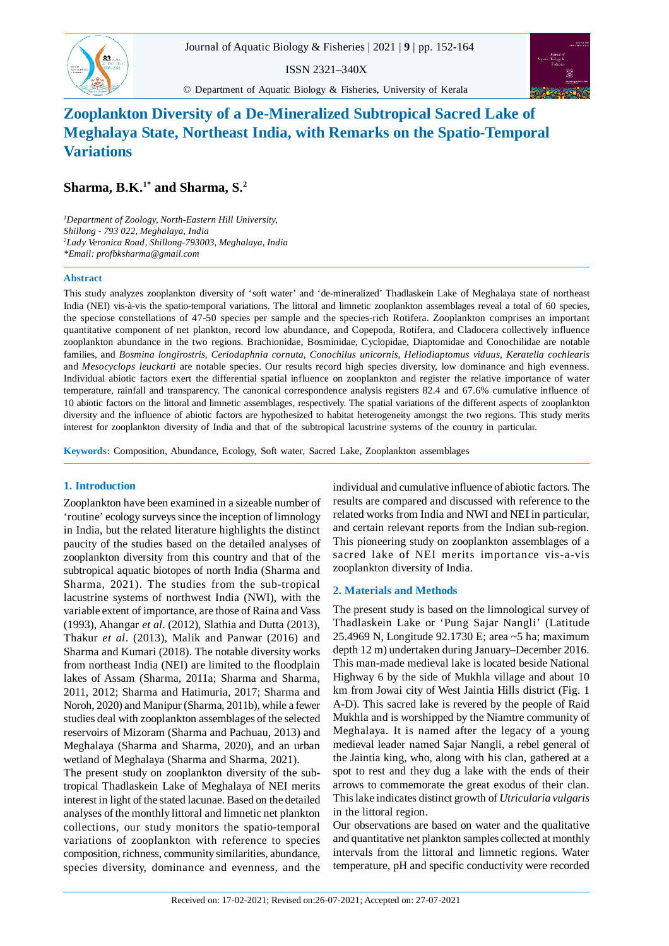ISSN 2321–340X





# **Zooplankton Diversity of a De-Mineralized Subtropical Sacred Lake of Meghalaya State, Northeast India, with Remarks on the Spatio-Temporal Variations**

**Sharma, B.K.1\* and Sharma, S.<sup>2</sup>**

*<sup>1</sup>Department of Zoology, North-Eastern Hill University, Shillong - 793 022, Meghalaya, India <sup>2</sup>Lady Veronica Road, Shillong-793003, Meghalaya, India \*Email: profbksharma@gmail.com*

### **Abstract**

83

This study analyzes zooplankton diversity of 'soft water' and 'de-mineralized' Thadlaskein Lake of Meghalaya state of northeast India (NEI) vis-à-vis the spatio-temporal variations. The littoral and limnetic zooplankton assemblages reveal a total of 60 species, the speciose constellations of 47-50 species per sample and the species-rich Rotifera. Zooplankton comprises an important quantitative component of net plankton, record low abundance, and Copepoda, Rotifera, and Cladocera collectively influence zooplankton abundance in the two regions. Brachionidae, Bosminidae, Cyclopidae, Diaptomidae and Conochilidae are notable families, and *Bosmina longirostris*, *Ceriodaphnia cornuta*, *Conochilus unicornis, Heliodiaptomus viduus, Keratella cochlearis* and *Mesocyclops leuckarti* are notable species. Our results record high species diversity, low dominance and high evenness. Individual abiotic factors exert the differential spatial influence on zooplankton and register the relative importance of water temperature, rainfall and transparency. The canonical correspondence analysis registers 82.4 and 67.6% cumulative influence of 10 abiotic factors on the littoral and limnetic assemblages, respectively. The spatial variations of the different aspects of zooplankton diversity and the influence of abiotic factors are hypothesized to habitat heterogeneity amongst the two regions. This study merits interest for zooplankton diversity of India and that of the subtropical lacustrine systems of the country in particular.

**Keywords:** Composition, Abundance, Ecology, Soft water, Sacred Lake, Zooplankton assemblages

# **1. Introduction**

Zooplankton have been examined in a sizeable number of 'routine' ecology surveys since the inception of limnology in India, but the related literature highlights the distinct paucity of the studies based on the detailed analyses of zooplankton diversity from this country and that of the subtropical aquatic biotopes of north India (Sharma and Sharma, 2021). The studies from the sub-tropical lacustrine systems of northwest India (NWI), with the variable extent of importance, are those of Raina and Vass (1993), Ahangar *et al*. (2012), Slathia and Dutta (2013), Thakur *et al*. (2013), Malik and Panwar (2016) and Sharma and Kumari (2018). The notable diversity works from northeast India (NEI) are limited to the floodplain lakes of Assam (Sharma, 2011a; Sharma and Sharma, 2011, 2012; Sharma and Hatimuria, 2017; Sharma and Noroh, 2020) and Manipur (Sharma, 2011b), while a fewer studies deal with zooplankton assemblages of the selected reservoirs of Mizoram (Sharma and Pachuau, 2013) and Meghalaya (Sharma and Sharma, 2020), and an urban wetland of Meghalaya (Sharma and Sharma, 2021).

The present study on zooplankton diversity of the subtropical Thadlaskein Lake of Meghalaya of NEI merits interest in light of the stated lacunae. Based on the detailed analyses of the monthly littoral and limnetic net plankton collections, our study monitors the spatio-temporal variations of zooplankton with reference to species composition, richness, community similarities, abundance, species diversity, dominance and evenness, and the individual and cumulative influence of abiotic factors. The results are compared and discussed with reference to the related works from India and NWI and NEI in particular, and certain relevant reports from the Indian sub-region. This pioneering study on zooplankton assemblages of a sacred lake of NEI merits importance vis-a-vis zooplankton diversity of India.

# **2. Materials and Methods**

The present study is based on the limnological survey of Thadlaskein Lake or 'Pung Sajar Nangli' (Latitude 25.4969 N, Longitude 92.1730 E; area ~5 ha; maximum depth 12 m) undertaken during January–December 2016. This man-made medieval lake is located beside National Highway 6 by the side of Mukhla village and about 10 km from Jowai city of West Jaintia Hills district (Fig. 1 A-D). This sacred lake is revered by the people of Raid Mukhla and is worshipped by the Niamtre community of Meghalaya. It is named after the legacy of a young medieval leader named Sajar Nangli, a rebel general of the Jaintia king, who, along with his clan, gathered at a spot to rest and they dug a lake with the ends of their arrows to commemorate the great exodus of their clan. This lake indicates distinct growth of *Utricularia vulgaris* in the littoral region.

Our observations are based on water and the qualitative and quantitative net plankton samples collected at monthly intervals from the littoral and limnetic regions. Water temperature, pH and specific conductivity were recorded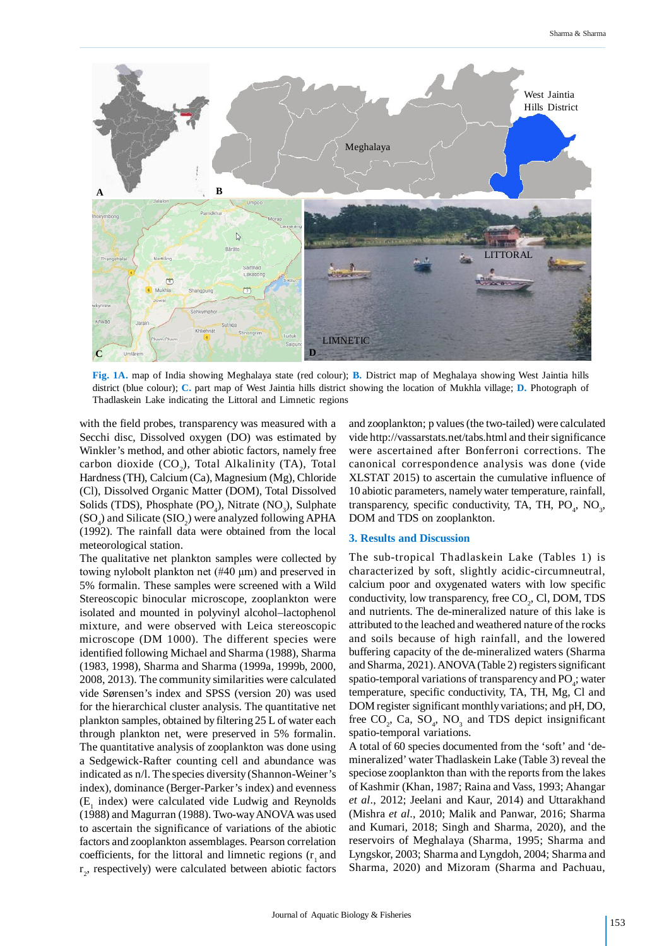

**Fig. 1A.** map of India showing Meghalaya state (red colour); **B.** District map of Meghalaya showing West Jaintia hills district (blue colour); **C.** part map of West Jaintia hills district showing the location of Mukhla village; **D.** Photograph of Thadlaskein Lake indicating the Littoral and Limnetic regions

with the field probes, transparency was measured with a Secchi disc, Dissolved oxygen (DO) was estimated by Winkler's method, and other abiotic factors, namely free carbon dioxide  $(CO_2)$ , Total Alkalinity (TA), Total Hardness (TH), Calcium (Ca), Magnesium (Mg), Chloride (Cl), Dissolved Organic Matter (DOM), Total Dissolved Solids (TDS), Phosphate  $(PO_4)$ , Nitrate  $(NO_3)$ , Sulphate  $(SO_4)$  and Silicate  $(SIO_2)$  were analyzed following APHA (1992). The rainfall data were obtained from the local meteorological station.

The qualitative net plankton samples were collected by towing nylobolt plankton net (#40 µm) and preserved in 5% formalin. These samples were screened with a Wild Stereoscopic binocular microscope, zooplankton were isolated and mounted in polyvinyl alcohol–lactophenol mixture, and were observed with Leica stereoscopic microscope (DM 1000). The different species were identified following Michael and Sharma (1988), Sharma (1983, 1998), Sharma and Sharma (1999a, 1999b, 2000, 2008, 2013). The community similarities were calculated vide Sørensen's index and SPSS (version 20) was used for the hierarchical cluster analysis. The quantitative net plankton samples, obtained by filtering 25 L of water each through plankton net, were preserved in 5% formalin. The quantitative analysis of zooplankton was done using a Sedgewick-Rafter counting cell and abundance was indicated as n/l. The species diversity (Shannon-Weiner's index), dominance (Berger-Parker's index) and evenness  $(E_1$  index) were calculated vide Ludwig and Reynolds (1988) and Magurran (1988). Two-way ANOVA was used to ascertain the significance of variations of the abiotic factors and zooplankton assemblages. Pearson correlation coefficients, for the littoral and limnetic regions  $(r<sub>1</sub>$  and r 2 , respectively) were calculated between abiotic factors and zooplankton; p values (the two-tailed) were calculated vide http://vassarstats.net/tabs.html and their significance were ascertained after Bonferroni corrections. The canonical correspondence analysis was done (vide XLSTAT 2015) to ascertain the cumulative influence of 10 abiotic parameters, namely water temperature, rainfall, transparency, specific conductivity, TA, TH,  $PO_4$ ,  $NO_3$ , DOM and TDS on zooplankton.

#### **3. Results and Discussion**

The sub-tropical Thadlaskein Lake (Tables 1) is characterized by soft, slightly acidic-circumneutral, calcium poor and oxygenated waters with low specific conductivity, low transparency, free  $CO<sub>2</sub>$ , Cl, DOM, TDS and nutrients. The de-mineralized nature of this lake is attributed to the leached and weathered nature of the rocks and soils because of high rainfall, and the lowered buffering capacity of the de-mineralized waters (Sharma and Sharma, 2021). ANOVA (Table 2) registers significant spatio-temporal variations of transparency and  $PO_4$ ; water temperature, specific conductivity, TA, TH, Mg, Cl and DOM register significant monthly variations; and pH, DO, free  $CO_2$ , Ca,  $SO_4$ , NO<sub>3</sub> and TDS depict insignificant spatio-temporal variations.

A total of 60 species documented from the 'soft' and 'demineralized' water Thadlaskein Lake (Table 3) reveal the speciose zooplankton than with the reports from the lakes of Kashmir (Khan, 1987; Raina and Vass, 1993; Ahangar *et al*., 2012; Jeelani and Kaur, 2014) and Uttarakhand (Mishra *et al*., 2010; Malik and Panwar, 2016; Sharma and Kumari, 2018; Singh and Sharma, 2020), and the reservoirs of Meghalaya (Sharma, 1995; Sharma and Lyngskor, 2003; Sharma and Lyngdoh, 2004; Sharma and Sharma, 2020) and Mizoram (Sharma and Pachuau,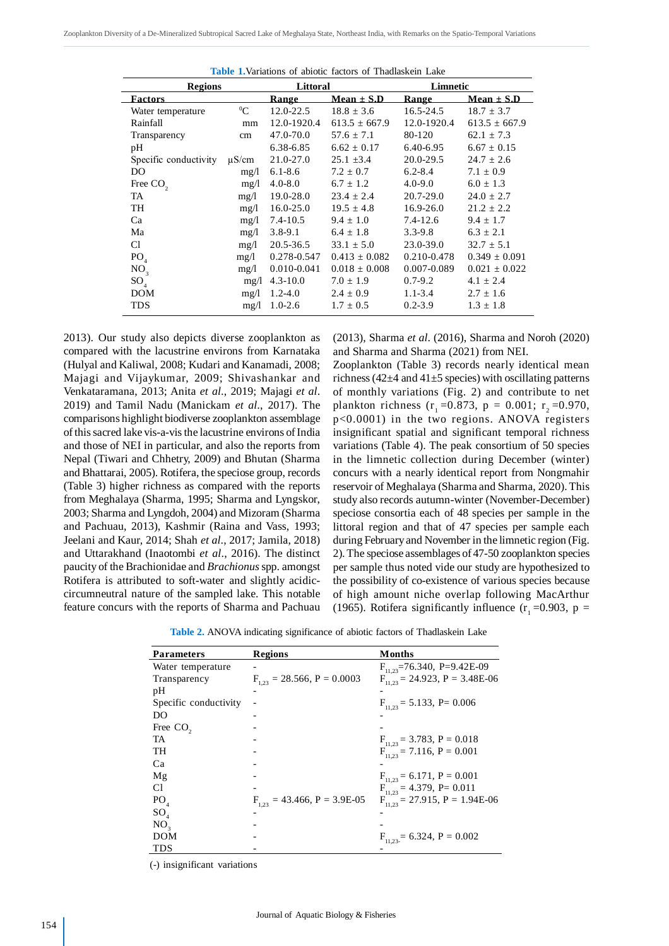| <b>Regions</b>        |            | Littoral        |                   | Limnetic    |                   |
|-----------------------|------------|-----------------|-------------------|-------------|-------------------|
| <b>Factors</b>        |            | <b>Range</b>    | Mean $\pm$ S.D    | Range       | $Mean \pm S.D$    |
| Water temperature     | ${}^{0}C$  | 12.0-22.5       | $18.8 \pm 3.6$    | 16.5-24.5   | $18.7 \pm 3.7$    |
| Rainfall              | mm         | 12.0-1920.4     | $613.5 \pm 667.9$ | 12.0-1920.4 | $613.5 \pm 667.9$ |
| Transparency          | cm         | 47.0-70.0       | $57.6 \pm 7.1$    | 80-120      | $62.1 \pm 7.3$    |
| pH                    |            | 6.38-6.85       | $6.62 \pm 0.17$   | 6.40-6.95   | $6.67 \pm 0.15$   |
| Specific conductivity | $\mu$ S/cm | 21.0-27.0       | $25.1 \pm 3.4$    | 20.0-29.5   | $24.7 \pm 2.6$    |
| DO                    | mg/l       | $6.1 - 8.6$     | $7.2 \pm 0.7$     | $6.2 - 8.4$ | $7.1 \pm 0.9$     |
| Free $CO2$            | mg/l       | $4.0 - 8.0$     | $6.7 \pm 1.2$     | $4.0 - 9.0$ | $6.0 \pm 1.3$     |
| TA                    | mg/l       | 19.0-28.0       | $23.4 \pm 2.4$    | 20.7-29.0   | $24.0 \pm 2.7$    |
| TH                    | mg/l       | $16.0 - 25.0$   | $19.5 \pm 4.8$    | 16.9-26.0   | $21.2 \pm 2.2$    |
| Ca                    | mg/1       | $7.4 - 10.5$    | $9.4 \pm 1.0$     | 7.4-12.6    | $9.4 \pm 1.7$     |
| Ma                    | mg/l       | $3.8 - 9.1$     | $6.4 \pm 1.8$     | $3.3 - 9.8$ | $6.3 \pm 2.1$     |
| Cl                    | mg/l       | 20.5-36.5       | $33.1 \pm 5.0$    | 23.0-39.0   | $32.7 \pm 5.1$    |
| PO <sub>4</sub>       | mg/l       | 0.278-0.547     | $0.413 \pm 0.082$ | 0.210-0.478 | $0.349 \pm 0.091$ |
| NO <sub>3</sub>       | mg/1       | $0.010 - 0.041$ | $0.018 \pm 0.008$ | 0.007-0.089 | $0.021 \pm 0.022$ |
| $SO_{4}$              | mg/l       | $4.3 - 10.0$    | $7.0 \pm 1.9$     | $0.7 - 9.2$ | $4.1 \pm 2.4$     |
| <b>DOM</b>            | mg/l       | $1.2 - 4.0$     | $2.4 \pm 0.9$     | $1.1 - 3.4$ | $2.7 \pm 1.6$     |
| <b>TDS</b>            | mg/1       | $1.0 - 2.6$     | $1.7 \pm 0.5$     | $0.2 - 3.9$ | $1.3 \pm 1.8$     |

**Table 1.**Variations of abiotic factors of Thadlaskein Lake

2013). Our study also depicts diverse zooplankton as compared with the lacustrine environs from Karnataka (Hulyal and Kaliwal, 2008; Kudari and Kanamadi, 2008; Majagi and Vijaykumar, 2009; Shivashankar and Venkataramana, 2013; Anita *et al*., 2019; Majagi *et al*. 2019) and Tamil Nadu (Manickam *et al*., 2017). The comparisons highlight biodiverse zooplankton assemblage of this sacred lake vis-a-vis the lacustrine environs of India and those of NEI in particular, and also the reports from Nepal (Tiwari and Chhetry, 2009) and Bhutan (Sharma and Bhattarai, 2005). Rotifera, the speciose group, records (Table 3) higher richness as compared with the reports from Meghalaya (Sharma, 1995; Sharma and Lyngskor, 2003; Sharma and Lyngdoh, 2004) and Mizoram (Sharma and Pachuau, 2013), Kashmir (Raina and Vass, 1993; Jeelani and Kaur, 2014; Shah *et al*., 2017; Jamila, 2018) and Uttarakhand (Inaotombi *et al*., 2016). The distinct paucity of the Brachionidae and *Brachionus* spp. amongst Rotifera is attributed to soft-water and slightly acidiccircumneutral nature of the sampled lake. This notable feature concurs with the reports of Sharma and Pachuau

(2013), Sharma *et al*. (2016), Sharma and Noroh (2020) and Sharma and Sharma (2021) from NEI.

Zooplankton (Table 3) records nearly identical mean richness (42 $\pm$ 4 and 41 $\pm$ 5 species) with oscillating patterns of monthly variations (Fig. 2) and contribute to net plankton richness (r<sub>1</sub> = 0.873, p = 0.001; r<sub>2</sub> = 0.970, p<0.0001) in the two regions. ANOVA registers insignificant spatial and significant temporal richness variations (Table 4). The peak consortium of 50 species in the limnetic collection during December (winter) concurs with a nearly identical report from Nongmahir reservoir of Meghalaya (Sharma and Sharma, 2020). This study also records autumn-winter (November-December) speciose consortia each of 48 species per sample in the littoral region and that of 47 species per sample each during February and November in the limnetic region (Fig. 2). The speciose assemblages of 47-50 zooplankton species per sample thus noted vide our study are hypothesized to the possibility of co-existence of various species because of high amount niche overlap following MacArthur (1965). Rotifera significantly influence  $(r_1 = 0.903, p =$ 

**Table 2.** ANOVA indicating significance of abiotic factors of Thadlaskein Lake

| <b>Parameters</b>     | <b>Regions</b>                   | Months                                |
|-----------------------|----------------------------------|---------------------------------------|
| Water temperature     |                                  | $F_{11,23}$ =76.340, P=9.42E-09       |
| Transparency          | $F_{1,23} = 28.566, P = 0.0003$  | $F_{11,23} = 24.923$ , P = 3.48E-06   |
| pH                    |                                  |                                       |
| Specific conductivity |                                  | $F_{11,23} = 5.133$ , P= 0.006        |
| DO                    |                                  |                                       |
| Free $CO2$            |                                  |                                       |
| TA                    |                                  | $F_{11,23} = 3.783, P = 0.018$        |
| TH                    |                                  | $F_{11,23} = 7.116, P = 0.001$        |
| Ca                    |                                  |                                       |
| Mg                    |                                  | $F_{11,23} = 6.171$ , $P = 0.001$     |
| Сl                    |                                  | $F_{11,23} = 4.379$ , P= 0.011        |
| PO <sub>4</sub>       | $F_{1,23} = 43.466, P = 3.9E-05$ | $F_{11,23} = 27.915$ , $P = 1.94E-06$ |
| $SO_{4}$              |                                  |                                       |
| NO <sub>3</sub>       |                                  |                                       |
| DOM                   |                                  | $F_{11,23} = 6.324, P = 0.002$        |
| TDS                   |                                  |                                       |

(-) insignificant variations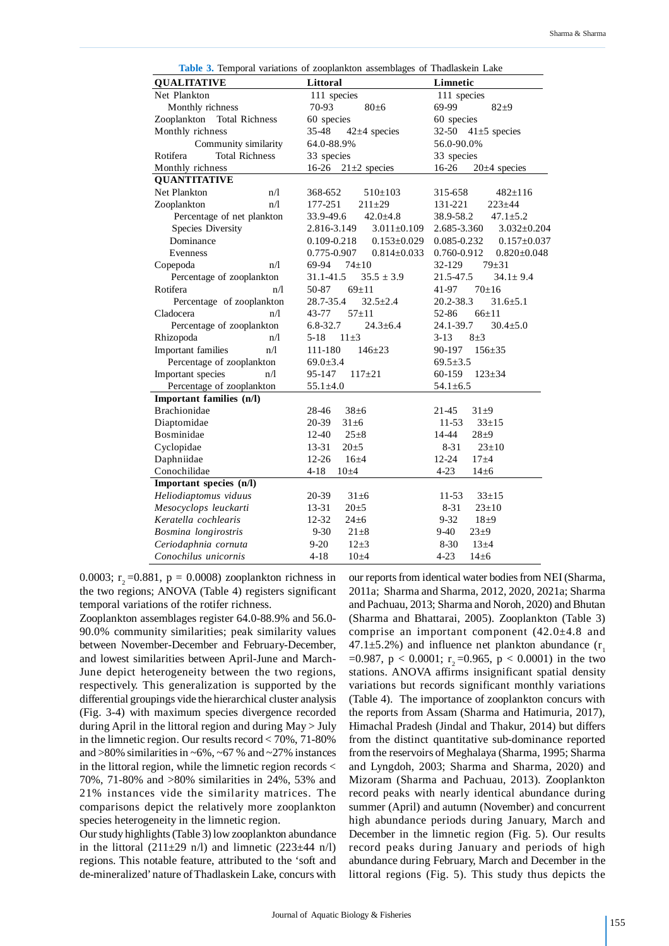| <b>QUALITATIVE</b>                   | Littoral                             | Limnetic                         |  |
|--------------------------------------|--------------------------------------|----------------------------------|--|
| Net Plankton                         | 111 species                          | 111 species                      |  |
| Monthly richness                     | 70-93<br>$80\pm 6$                   | 69-99<br>$82 + 9$                |  |
| <b>Total Richness</b><br>Zooplankton | 60 species                           | 60 species                       |  |
| Monthly richness                     | 35-48<br>$42\pm4$ species            | $32 - 50$<br>$41\pm5$ species    |  |
| Community similarity                 | 64.0-88.9%                           | 56.0-90.0%                       |  |
| <b>Total Richness</b><br>Rotifera    | 33 species                           | 33 species                       |  |
| Monthly richness                     | $16-26$<br>$21\pm2$ species          | 16-26<br>$20±4$ species          |  |
| <b>QUANTITATIVE</b>                  |                                      |                                  |  |
| <b>Net Plankton</b><br>n/l           | 368-652<br>$510\pm 103$              | $482 \pm 116$<br>315-658         |  |
| Zooplankton<br>n/1                   | 177-251<br>$211 + 29$                | 131-221<br>$223 \pm 44$          |  |
| Percentage of net plankton           | $42.0 \pm 4.8$<br>33.9-49.6          | $47.1 \pm 5.2$<br>38.9-58.2      |  |
| <b>Species Diversity</b>             | 2.816-3.149<br>$3.011 \pm 0.109$     | 2.685-3.360<br>$3.032 \pm 0.204$ |  |
| Dominance                            | $0.153 \pm 0.029$<br>$0.109 - 0.218$ | 0.085-0.232<br>$0.157 \pm 0.037$ |  |
| Evenness                             | 0.775-0.907<br>$0.814 \pm 0.033$     | 0.760-0.912<br>$0.820 \pm 0.048$ |  |
| n/l<br>Copepoda                      | 69-94<br>$74 \pm 10$                 | 32-129<br>$79 + 31$              |  |
| Percentage of zooplankton            | 31.1-41.5<br>$35.5 \pm 3.9$          | 21.5-47.5<br>$34.1 \pm 9.4$      |  |
| Rotifera<br>n/l                      | $69+11$<br>50-87                     | $70+16$<br>41-97                 |  |
| Percentage of zooplankton            | 28.7-35.4<br>$32.5 \pm 2.4$          | 20.2-38.3<br>$31.6 \pm 5.1$      |  |
| Cladocera<br>n/l                     | 43-77<br>$57 + 11$                   | 52-86<br>$66 + 11$               |  |
| Percentage of zooplankton            | $24.3 \pm 6.4$<br>6.8-32.7           | 24.1-39.7<br>$30.4 \pm 5.0$      |  |
| Rhizopoda<br>n/l                     | $11\pm3$<br>$5-18$                   | $3-13$<br>$8\pm3$                |  |
| Important families<br>n/1            | $146 \pm 23$<br>111-180              | $156 + 35$<br>90-197             |  |
| Percentage of zooplankton            | $69.0 \pm 3.4$                       | $69.5 \pm 3.5$                   |  |
| Important species<br>n/l             | 95-147<br>$117+21$                   | 60-159<br>$123 \pm 34$           |  |
| Percentage of zooplankton            | $55.1 \pm 4.0$                       | $54.1 \pm 6.5$                   |  |
| Important families (n/l)             |                                      |                                  |  |
| <b>Brachionidae</b>                  | 28-46<br>$38 \pm 6$                  | 21-45<br>$31\pm9$                |  |
| Diaptomidae                          | 20-39<br>$31\pm6$                    | $33 + 15$<br>11-53               |  |
| Bosminidae                           | 12-40<br>$25 \pm 8$                  | 14-44<br>$28 + 9$                |  |
| Cyclopidae                           | 13-31<br>$20 + 5$                    | $8 - 31$<br>$23 \pm 10$          |  |
| Daphniidae                           | $12 - 26$<br>$16 + 4$                | $12 - 24$<br>$17 + 4$            |  |
| Conochilidae                         | $4 - 18$<br>$10\pm4$                 | $4 - 23$<br>$14\pm 6$            |  |
| Important species (n/l)              |                                      |                                  |  |
| Heliodiaptomus viduus                | 20-39<br>$31\pm6$                    | 11-53<br>$33 \pm 15$             |  |
| Mesocyclops leuckarti                | 13-31<br>$20\pm 5$                   | $8 - 31$<br>$23 \pm 10$          |  |
| Keratella cochlearis                 | 12-32<br>$24 \pm 6$                  | $9 - 32$<br>$18\pm9$             |  |
| Bosmina longirostris                 | $9 - 30$<br>$21 \pm 8$               | 9-40<br>$23\pm9$                 |  |
| Ceriodaphnia cornuta                 | $9 - 20$<br>$12\pm3$                 | $8 - 30$<br>$13 + 4$             |  |
| Conochilus unicornis                 | $4 - 18$<br>$10\pm4$                 | $4 - 23$<br>$14\pm 6$            |  |

**Table 3.** Temporal variations of zooplankton assemblages of Thadlaskein Lake

0.0003; r<sub>2</sub> = 0.881, p = 0.0008) zooplankton richness in the two regions; ANOVA (Table 4) registers significant temporal variations of the rotifer richness.

Zooplankton assemblages register 64.0-88.9% and 56.0- 90.0% community similarities; peak similarity values between November-December and February-December, and lowest similarities between April-June and March-June depict heterogeneity between the two regions, respectively. This generalization is supported by the differential groupings vide the hierarchical cluster analysis (Fig. 3-4) with maximum species divergence recorded during April in the littoral region and during May > July in the limnetic region. Our results record < 70%, 71-80% and  $>80\%$  similarities in  $\sim 6\%$ ,  $\sim 67\%$  and  $\sim 27\%$  instances in the littoral region, while the limnetic region records  $\lt$ 70%, 71-80% and >80% similarities in 24%, 53% and 21% instances vide the similarity matrices. The comparisons depict the relatively more zooplankton species heterogeneity in the limnetic region.

Our study highlights (Table 3) low zooplankton abundance in the littoral  $(211\pm29 \text{ n/l})$  and limnetic  $(223\pm44 \text{ n/l})$ regions. This notable feature, attributed to the 'soft and de-mineralized' nature of Thadlaskein Lake, concurs with our reports from identical water bodies from NEI (Sharma, 2011a; Sharma and Sharma, 2012, 2020, 2021a; Sharma and Pachuau, 2013; Sharma and Noroh, 2020) and Bhutan (Sharma and Bhattarai, 2005). Zooplankton (Table 3) comprise an important component (42.0±4.8 and  $47.1\pm5.2\%$ ) and influence net plankton abundance (r<sub>1</sub>  $=0.987$ , p < 0.0001; r<sub>2</sub> = 0.965, p < 0.0001) in the two stations. ANOVA affirms insignificant spatial density variations but records significant monthly variations (Table 4). The importance of zooplankton concurs with the reports from Assam (Sharma and Hatimuria, 2017), Himachal Pradesh (Jindal and Thakur, 2014) but differs from the distinct quantitative sub-dominance reported from the reservoirs of Meghalaya (Sharma, 1995; Sharma and Lyngdoh, 2003; Sharma and Sharma, 2020) and Mizoram (Sharma and Pachuau, 2013). Zooplankton record peaks with nearly identical abundance during summer (April) and autumn (November) and concurrent high abundance periods during January, March and December in the limnetic region (Fig. 5). Our results record peaks during January and periods of high abundance during February, March and December in the littoral regions (Fig. 5). This study thus depicts the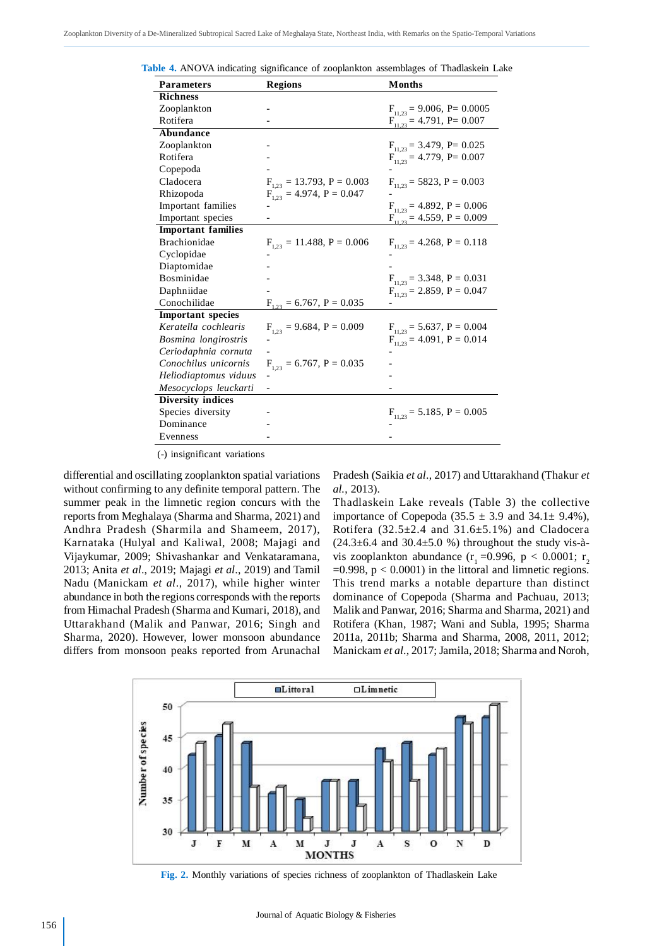| <b>Parameters</b>         | <b>Regions</b>                 | <b>Months</b>                     |
|---------------------------|--------------------------------|-----------------------------------|
| <b>Richness</b>           |                                |                                   |
| Zooplankton               |                                | $F_{11,23} = 9.006, P = 0.0005$   |
| Rotifera                  |                                | $F_{11,23} = 4.791$ , P= 0.007    |
| Abundance                 |                                |                                   |
| Zooplankton               |                                | $F_{11,23} = 3.479$ , P= 0.025    |
| Rotifera                  |                                | $F_{11,23} = 4.779$ , P= 0.007    |
| Copepoda                  |                                |                                   |
| Cladocera                 | $F_{1,23} = 13.793, P = 0.003$ | $F_{11,23} = 5823, P = 0.003$     |
| Rhizopoda                 | $F_{1,23} = 4.974, P = 0.047$  |                                   |
| Important families        |                                | $F_{11,23} = 4.892, P = 0.006$    |
| Important species         |                                | $F_{11,23} = 4.559$ , $P = 0.009$ |
| <b>Important families</b> |                                |                                   |
| <b>Brachionidae</b>       | $F_{1,23} = 11.488, P = 0.006$ | $F_{11,23} = 4.268$ , $P = 0.118$ |
| Cyclopidae                |                                |                                   |
| Diaptomidae               |                                |                                   |
| Bosminidae                |                                | $F_{11,23} = 3.348, P = 0.031$    |
| Daphniidae                |                                | $F_{11,23} = 2.859, P = 0.047$    |
| Conochilidae              | $F_{1,23} = 6.767, P = 0.035$  |                                   |
| <b>Important</b> species  |                                |                                   |
| Keratella cochlearis      | $F_{1,23} = 9.684, P = 0.009$  | $F_{11,23} = 5.637, P = 0.004$    |
| Bosmina longirostris      |                                | $F_{11,23} = 4.091, P = 0.014$    |
| Ceriodaphnia cornuta      |                                |                                   |
| Conochilus unicornis      | $F_{1,23} = 6.767, P = 0.035$  |                                   |
| Heliodiaptomus viduus     | $\overline{\phantom{0}}$       |                                   |
| Mesocyclops leuckarti     |                                |                                   |
| <b>Diversity indices</b>  |                                |                                   |
| Species diversity         |                                | $F_{11,23} = 5.185, P = 0.005$    |
| Dominance                 |                                |                                   |
| Evenness                  |                                |                                   |
|                           |                                |                                   |

**Table 4.** ANOVA indicating significance of zooplankton assemblages of Thadlaskein Lake

(-) insignificant variations

differential and oscillating zooplankton spatial variations without confirming to any definite temporal pattern. The summer peak in the limnetic region concurs with the reports from Meghalaya (Sharma and Sharma, 2021) and Andhra Pradesh (Sharmila and Shameem, 2017), Karnataka (Hulyal and Kaliwal, 2008; Majagi and Vijaykumar, 2009; Shivashankar and Venkataramana, 2013; Anita *et al*., 2019; Majagi *et al*., 2019) and Tamil Nadu (Manickam *et al*., 2017), while higher winter abundance in both the regions corresponds with the reports from Himachal Pradesh (Sharma and Kumari, 2018), and Uttarakhand (Malik and Panwar, 2016; Singh and Sharma, 2020). However, lower monsoon abundance differs from monsoon peaks reported from Arunachal Pradesh (Saikia *et al*., 2017) and Uttarakhand (Thakur *et al.*, 2013).

Thadlaskein Lake reveals (Table 3) the collective importance of Copepoda (35.5  $\pm$  3.9 and 34.1 $\pm$  9.4%), Rotifera  $(32.5\pm 2.4$  and  $31.6\pm 5.1\%$ ) and Cladocera  $(24.3\pm6.4$  and  $30.4\pm5.0$  %) throughout the study vis-àvis zooplankton abundance (r<sub>1</sub> = 0.996, p < 0.0001; r<sub>2</sub>  $=0.998$ ,  $p < 0.0001$ ) in the littoral and limnetic regions. This trend marks a notable departure than distinct dominance of Copepoda (Sharma and Pachuau, 2013; Malik and Panwar, 2016; Sharma and Sharma, 2021) and Rotifera (Khan, 1987; Wani and Subla, 1995; Sharma 2011a, 2011b; Sharma and Sharma, 2008, 2011, 2012; Manickam *et al*., 2017; Jamila, 2018; Sharma and Noroh,



**Fig. 2.** Monthly variations of species richness of zooplankton of Thadlaskein Lake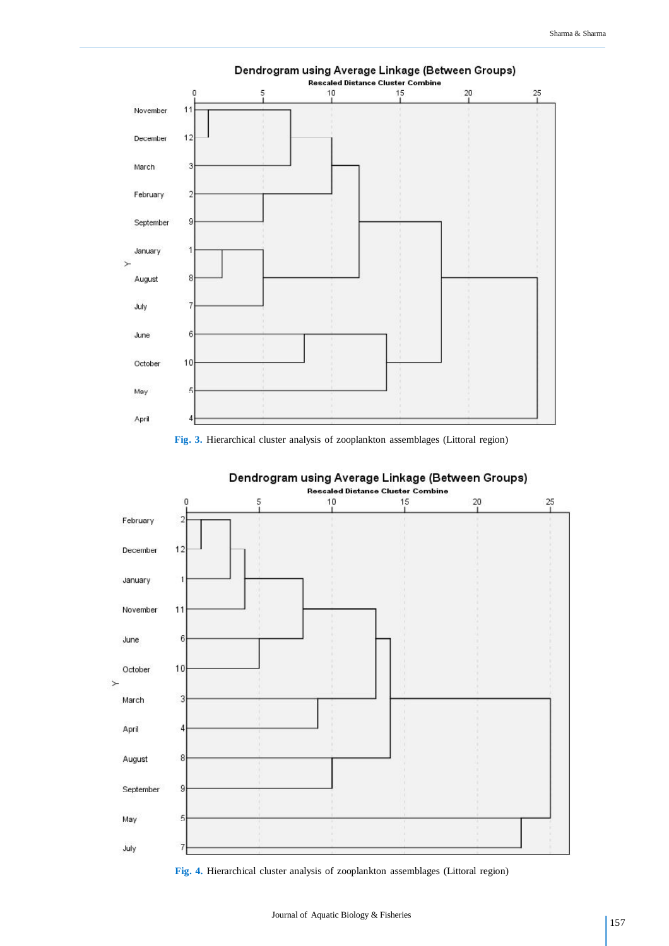

## **Fig. 3.** Hierarchical cluster analysis of zooplankton assemblages (Littoral region)



# Dendrogram using Average Linkage (Between Groups)

**Fig. 4.** Hierarchical cluster analysis of zooplankton assemblages (Littoral region)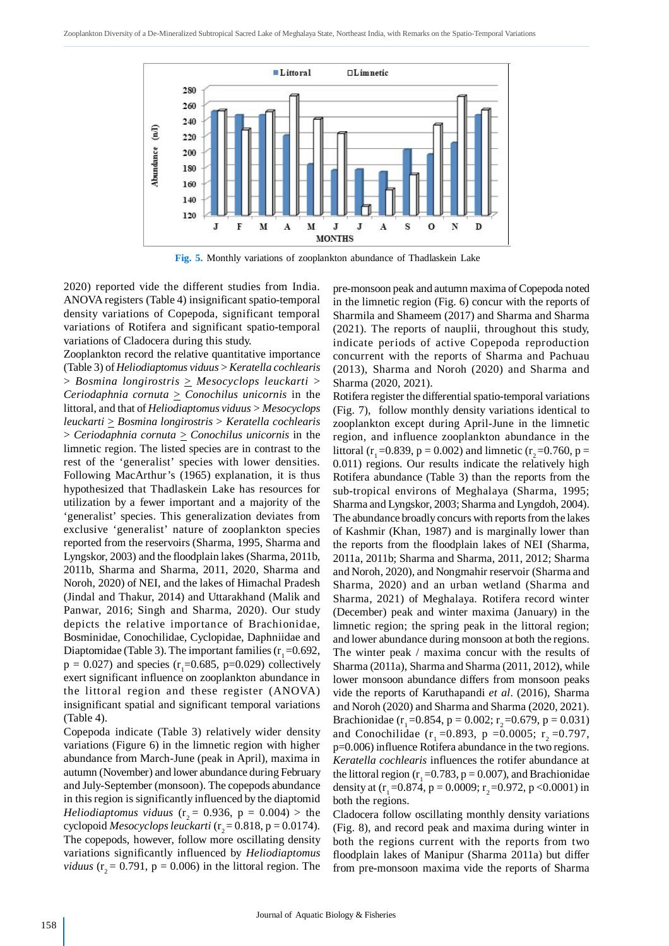

**Fig. 5.** Monthly variations of zooplankton abundance of Thadlaskein Lake

2020) reported vide the different studies from India. ANOVA registers (Table 4) insignificant spatio-temporal density variations of Copepoda, significant temporal variations of Rotifera and significant spatio-temporal variations of Cladocera during this study.

Zooplankton record the relative quantitative importance (Table 3) of *Heliodiaptomus viduus* > *Keratella cochlearis* > *Bosmina longirostris* > *Mesocyclops leuckarti* > *Ceriodaphnia cornuta*  $\geq$  *Conochilus unicornis* in the littoral, and that of *Heliodiaptomus viduus > Mesocyclops leuckarti* > *Bosmina longirostris* > *Keratella cochlearis* > *Ceriodaphnia cornuta* > *Conochilus unicornis* in the limnetic region. The listed species are in contrast to the rest of the 'generalist' species with lower densities. Following MacArthur's (1965) explanation, it is thus hypothesized that Thadlaskein Lake has resources for utilization by a fewer important and a majority of the 'generalist' species. This generalization deviates from exclusive 'generalist' nature of zooplankton species reported from the reservoirs (Sharma, 1995, Sharma and Lyngskor, 2003) and the floodplain lakes (Sharma, 2011b, 2011b, Sharma and Sharma, 2011, 2020, Sharma and Noroh, 2020) of NEI, and the lakes of Himachal Pradesh (Jindal and Thakur, 2014) and Uttarakhand (Malik and Panwar, 2016; Singh and Sharma, 2020). Our study depicts the relative importance of Brachionidae, Bosminidae, Conochilidae, Cyclopidae, Daphniidae and Diaptomidae (Table 3). The important families  $(r_1 = 0.692,$  $p = 0.027$ ) and species ( $r_1 = 0.685$ ,  $p = 0.029$ ) collectively exert significant influence on zooplankton abundance in the littoral region and these register (ANOVA) insignificant spatial and significant temporal variations (Table 4).

Copepoda indicate (Table 3) relatively wider density variations (Figure 6) in the limnetic region with higher abundance from March-June (peak in April), maxima in autumn (November) and lower abundance during February and July-September (monsoon). The copepods abundance in this region is significantly influenced by the diaptomid *Heliodiaptomus viduus* ( $r_2$  = 0.936, p = 0.004) > the cyclopoid *Mesocyclops leuckarti* (r<sub>2</sub> = 0.818, p = 0.0174). The copepods, however, follow more oscillating density variations significantly influenced by *Heliodiaptomus viduus* ( $r<sub>2</sub> = 0.791$ ,  $p = 0.006$ ) in the littoral region. The pre-monsoon peak and autumn maxima of Copepoda noted in the limnetic region (Fig. 6) concur with the reports of Sharmila and Shameem (2017) and Sharma and Sharma (2021). The reports of nauplii, throughout this study, indicate periods of active Copepoda reproduction concurrent with the reports of Sharma and Pachuau (2013), Sharma and Noroh (2020) and Sharma and Sharma (2020, 2021).

Rotifera register the differential spatio-temporal variations (Fig. 7), follow monthly density variations identical to zooplankton except during April-June in the limnetic region, and influence zooplankton abundance in the littoral (r<sub>1</sub> = 0.839, p = 0.002) and limnetic (r<sub>2</sub> = 0.760, p = 0.011) regions. Our results indicate the relatively high Rotifera abundance (Table 3) than the reports from the sub-tropical environs of Meghalaya (Sharma, 1995; Sharma and Lyngskor, 2003; Sharma and Lyngdoh, 2004). The abundance broadly concurs with reports from the lakes of Kashmir (Khan, 1987) and is marginally lower than the reports from the floodplain lakes of NEI (Sharma, 2011a, 2011b; Sharma and Sharma, 2011, 2012; Sharma and Noroh, 2020), and Nongmahir reservoir (Sharma and Sharma, 2020) and an urban wetland (Sharma and Sharma, 2021) of Meghalaya. Rotifera record winter (December) peak and winter maxima (January) in the limnetic region; the spring peak in the littoral region; and lower abundance during monsoon at both the regions. The winter peak / maxima concur with the results of Sharma (2011a), Sharma and Sharma (2011, 2012), while lower monsoon abundance differs from monsoon peaks vide the reports of Karuthapandi *et al*. (2016), Sharma and Noroh (2020) and Sharma and Sharma (2020, 2021). Brachionidae (r<sub>1</sub> = 0.854, p = 0.002; r<sub>2</sub> = 0.679, p = 0.031) and Conochilidae (r<sub>1</sub> = 0.893, p = 0.0005; r<sub>2</sub> = 0.797, p=0.006) influence Rotifera abundance in the two regions. *Keratella cochlearis* influences the rotifer abundance at the littoral region ( $r_1 = 0.783$ ,  $p = 0.007$ ), and Brachionidae density at  $(r_1 = 0.874, p = 0.0009; r_2 = 0.972, p < 0.0001)$  in both the regions.

Cladocera follow oscillating monthly density variations (Fig. 8), and record peak and maxima during winter in both the regions current with the reports from two floodplain lakes of Manipur (Sharma 2011a) but differ from pre-monsoon maxima vide the reports of Sharma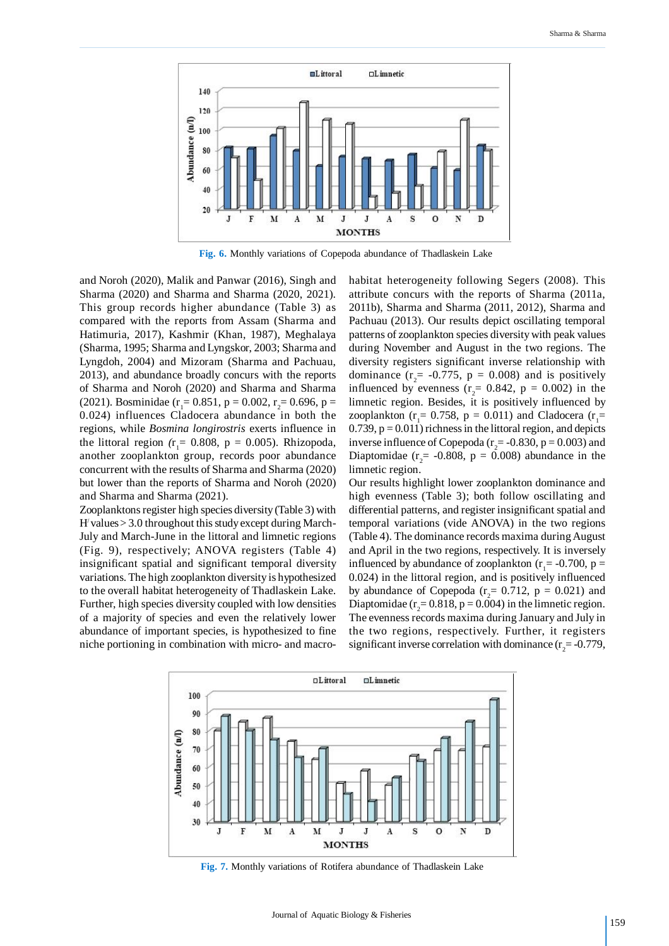

**Fig. 6.** Monthly variations of Copepoda abundance of Thadlaskein Lake

and Noroh (2020), Malik and Panwar (2016), Singh and Sharma (2020) and Sharma and Sharma (2020, 2021). This group records higher abundance (Table 3) as compared with the reports from Assam (Sharma and Hatimuria, 2017), Kashmir (Khan, 1987), Meghalaya (Sharma, 1995; Sharma and Lyngskor, 2003; Sharma and Lyngdoh, 2004) and Mizoram (Sharma and Pachuau, 2013), and abundance broadly concurs with the reports of Sharma and Noroh (2020) and Sharma and Sharma (2021). Bosminidae ( $r_1 = 0.851$ , p = 0.002,  $r_2 = 0.696$ , p = 0.024) influences Cladocera abundance in both the regions, while *Bosmina longirostris* exerts influence in the littoral region  $(r_1 = 0.808, p = 0.005)$ . Rhizopoda, another zooplankton group, records poor abundance concurrent with the results of Sharma and Sharma (2020) but lower than the reports of Sharma and Noroh (2020) and Sharma and Sharma (2021).

Zooplanktons register high species diversity (Table 3) with  $H'$  values  $> 3.0$  throughout this study except during March-July and March-June in the littoral and limnetic regions (Fig. 9), respectively; ANOVA registers (Table 4) insignificant spatial and significant temporal diversity variations. The high zooplankton diversity is hypothesized to the overall habitat heterogeneity of Thadlaskein Lake. Further, high species diversity coupled with low densities of a majority of species and even the relatively lower abundance of important species, is hypothesized to fine niche portioning in combination with micro- and macrohabitat heterogeneity following Segers (2008). This attribute concurs with the reports of Sharma (2011a, 2011b), Sharma and Sharma (2011, 2012), Sharma and Pachuau (2013). Our results depict oscillating temporal patterns of zooplankton species diversity with peak values during November and August in the two regions. The diversity registers significant inverse relationship with dominance ( $r_2$  = -0.775,  $p = 0.008$ ) and is positively influenced by evenness ( $r_2$ = 0.842,  $p$  = 0.002) in the limnetic region. Besides, it is positively influenced by zooplankton ( $r_1 = 0.758$ ,  $p = 0.011$ ) and Cladocera ( $r_1 =$ 0.739,  $p = 0.011$ ) richness in the littoral region, and depicts inverse influence of Copepoda ( $r_2$  = -0.830, p = 0.003) and Diaptomidae ( $r_2$  = -0.808, p = 0.008) abundance in the limnetic region.

Our results highlight lower zooplankton dominance and high evenness (Table 3); both follow oscillating and differential patterns, and register insignificant spatial and temporal variations (vide ANOVA) in the two regions (Table 4). The dominance records maxima during August and April in the two regions, respectively. It is inversely influenced by abundance of zooplankton ( $r_1$  = -0.700, p = 0.024) in the littoral region, and is positively influenced by abundance of Copepoda ( $r_2$  = 0.712, p = 0.021) and Diaptomidae ( $r_2$ = 0.818, p = 0.004) in the limnetic region. The evenness records maxima during January and July in the two regions, respectively. Further, it registers significant inverse correlation with dominance  $(r_2 = -0.779)$ ,



**Fig. 7.** Monthly variations of Rotifera abundance of Thadlaskein Lake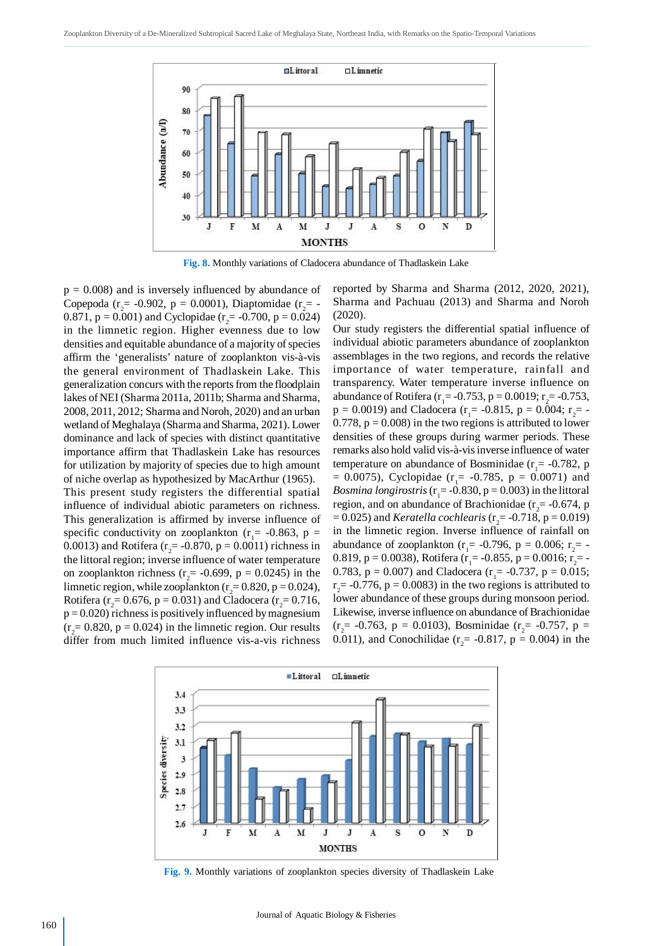

**Fig. 8.** Monthly variations of Cladocera abundance of Thadlaskein Lake

 $p = 0.008$ ) and is inversely influenced by abundance of Copepoda ( $r_2$  = -0.902, p = 0.0001), Diaptomidae ( $r_2$  = -0.871,  $p = 0.001$ ) and Cyclopidae ( $r_2 = -0.700$ ,  $p = 0.024$ ) in the limnetic region. Higher evenness due to low densities and equitable abundance of a majority of species affirm the 'generalists' nature of zooplankton vis-à-vis the general environment of Thadlaskein Lake. This generalization concurs with the reports from the floodplain lakes of NEI (Sharma 2011a, 2011b; Sharma and Sharma, 2008, 2011, 2012; Sharma and Noroh, 2020) and an urban wetland of Meghalaya (Sharma and Sharma, 2021). Lower dominance and lack of species with distinct quantitative importance affirm that Thadlaskein Lake has resources for utilization by majority of species due to high amount of niche overlap as hypothesized by MacArthur (1965).

This present study registers the differential spatial influence of individual abiotic parameters on richness. This generalization is affirmed by inverse influence of specific conductivity on zooplankton ( $r_1$  = -0.863, p = 0.0013) and Rotifera ( $r_2$  = -0.870, p = 0.0011) richness in the littoral region; inverse influence of water temperature on zooplankton richness ( $r_2$  = -0.699, p = 0.0245) in the limnetic region, while zooplankton ( $r_2 = 0.820$ , p = 0.024), Rotifera ( $r_2 = 0.676$ , p = 0.031) and Cladocera ( $r_2 = 0.716$ ,  $p = 0.020$ ) richness is positively influenced by magnesium  $(r<sub>2</sub>= 0.820, p = 0.024)$  in the limnetic region. Our results differ from much limited influence vis-a-vis richness reported by Sharma and Sharma (2012, 2020, 2021), Sharma and Pachuau (2013) and Sharma and Noroh (2020).

Our study registers the differential spatial influence of individual abiotic parameters abundance of zooplankton assemblages in the two regions, and records the relative importance of water temperature, rainfall and transparency. Water temperature inverse influence on abundance of Rotifera ( $r_1$ = -0.753, p = 0.0019; r<sub>2</sub>= -0.753,  $p = 0.0019$ ) and Cladocera ( $r_1 = -0.815$ ,  $p = 0.004$ ;  $r_2 = -1$ 0.778,  $p = 0.008$ ) in the two regions is attributed to lower densities of these groups during warmer periods. These remarks also hold valid vis-à-vis inverse influence of water temperature on abundance of Bosminidae ( $r_1$  = -0.782, p  $= 0.0075$ ), Cyclopidae (r<sub>1</sub> $= -0.785$ , p  $= 0.0071$ ) and *Bosmina longirostris* ( $r_1$  = -0.830, p = 0.003) in the littoral region, and on abundance of Brachionidae ( $r_2$  = -0.674, p  $= 0.025$ ) and *Keratella cochlearis* (r<sub>2</sub> $= -0.718$ , p  $= 0.019$ ) in the limnetic region. Inverse influence of rainfall on abundance of zooplankton ( $r_1$  = -0.796, p = 0.006;  $r_2$  = -0.819, p = 0.0038), Rotifera (r<sub>1</sub> = -0.855, p = 0.0016; r<sub>2</sub> = -0.783,  $p = 0.007$ ) and Cladocera ( $r_1 = -0.737$ ,  $p = 0.015$ ;  $r_2$  = -0.776, p = 0.0083) in the two regions is attributed to lower abundance of these groups during monsoon period. Likewise, inverse influence on abundance of Brachionidae ( $r_2$  = -0.763, p = 0.0103), Bosminidae ( $r_2$  = -0.757, p = 0.011), and Conochilidae ( $r_2$  = -0.817, p = 0.004) in the



**Fig. 9.** Monthly variations of zooplankton species diversity of Thadlaskein Lake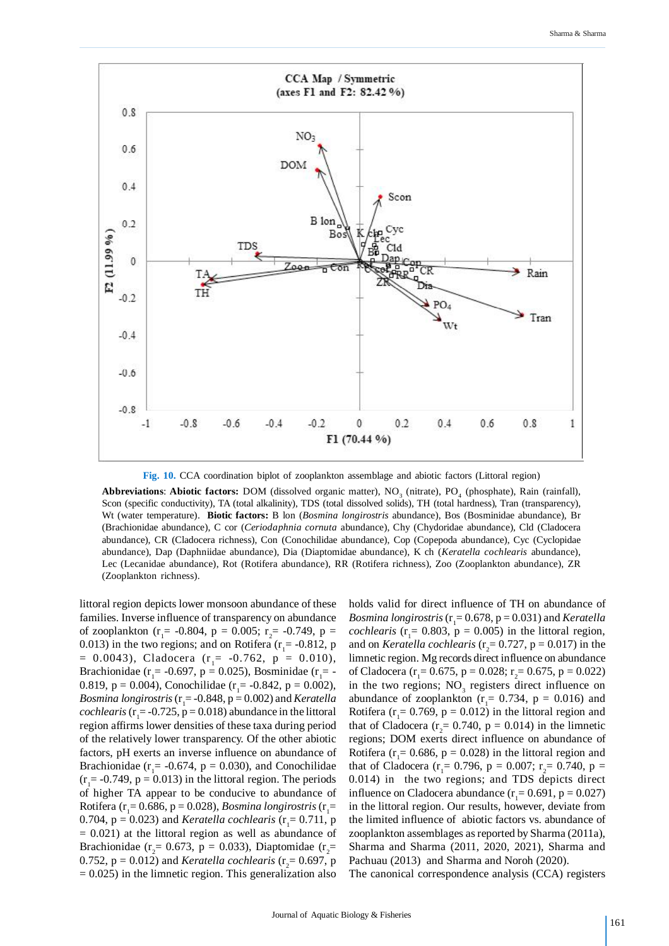

**Fig. 10.** CCA coordination biplot of zooplankton assemblage and abiotic factors (Littoral region)

**Abbreviations: Abiotic factors:** DOM (dissolved organic matter), NO<sub>3</sub> (nitrate), PO<sub>4</sub> (phosphate), Rain (rainfall), Scon (specific conductivity), TA (total alkalinity), TDS (total dissolved solids), TH (total hardness), Tran (transparency), Wt (water temperature). **Biotic factors:** B lon (*Bosmina longirostris* abundance), Bos (Bosminidae abundance), Br (Brachionidae abundance), C cor (*Ceriodaphnia cornuta* abundance), Chy (Chydoridae abundance), Cld (Cladocera abundance), CR (Cladocera richness), Con (Conochilidae abundance), Cop (Copepoda abundance), Cyc (Cyclopidae abundance), Dap (Daphniidae abundance), Dia (Diaptomidae abundance), K ch (*Keratella cochlearis* abundance), Lec (Lecanidae abundance), Rot (Rotifera abundance), RR (Rotifera richness), Zoo (Zooplankton abundance), ZR (Zooplankton richness).

littoral region depicts lower monsoon abundance of these families. Inverse influence of transparency on abundance of zooplankton ( $r_1$  = -0.804, p = 0.005;  $r_2$  = -0.749, p = 0.013) in the two regions; and on Rotifera ( $r_1$  = -0.812, p  $= 0.0043$ ), Cladocera (r<sub>1</sub> = -0.762, p = 0.010), Brachionidae ( $r_1$  = -0.697, p = 0.025), Bosminidae ( $r_1$  = -0.819,  $p = 0.004$ ), Conochilidae (r<sub>1</sub> = -0.842,  $p = 0.002$ ), *Bosmina longirostris* (r<sub>1</sub>= -0.848, p = 0.002) and *Keratella cochlearis* ( $r_1 = -0.725$ ,  $p = 0.018$ ) abundance in the littoral region affirms lower densities of these taxa during period of the relatively lower transparency. Of the other abiotic factors, pH exerts an inverse influence on abundance of Brachionidae ( $r_1$  = -0.674,  $p$  = 0.030), and Conochilidae  $(r<sub>1</sub>= -0.749, p = 0.013)$  in the littoral region. The periods of higher TA appear to be conducive to abundance of Rotifera (r<sub>1</sub>= 0.686, p = 0.028), *Bosmina longirostris* (r<sub>1</sub>= 0.704,  $p = 0.023$ ) and *Keratella cochlearis* ( $r_1 = 0.711$ ,  $p$  $= 0.021$ ) at the littoral region as well as abundance of Brachionidae ( $r_2$ = 0.673, p = 0.033), Diaptomidae ( $r_2$ = 0.752,  $p = 0.012$ ) and *Keratella cochlearis* ( $r_2 = 0.697$ ,  $p$  $= 0.025$ ) in the limnetic region. This generalization also holds valid for direct influence of TH on abundance of *Bosmina longirostris* (r<sup>1</sup> = 0.678, p = 0.031) and *Keratella cochlearis* ( $r_1 = 0.803$ ,  $p = 0.005$ ) in the littoral region, and on *Keratella cochlearis* ( $r_2$ = 0.727, p = 0.017) in the limnetic region. Mg records direct influence on abundance of Cladocera ( $r_1 = 0.675$ , p = 0.028;  $r_2 = 0.675$ , p = 0.022) in the two regions;  $NO<sub>3</sub>$  registers direct influence on abundance of zooplankton ( $r_1 = 0.734$ ,  $p = 0.016$ ) and Rotifera ( $r_1 = 0.769$ ,  $p = 0.012$ ) in the littoral region and that of Cladocera ( $r_2$  = 0.740,  $p$  = 0.014) in the limnetic regions; DOM exerts direct influence on abundance of Rotifera ( $r_1$  = 0.686, p = 0.028) in the littoral region and that of Cladocera ( $r_1 = 0.796$ ,  $p = 0.007$ ;  $r_2 = 0.740$ ,  $p =$ 0.014) in the two regions; and TDS depicts direct influence on Cladocera abundance  $(r_1 = 0.691, p = 0.027)$ in the littoral region. Our results, however, deviate from the limited influence of abiotic factors vs. abundance of zooplankton assemblages as reported by Sharma (2011a), Sharma and Sharma (2011, 2020, 2021), Sharma and Pachuau (2013) and Sharma and Noroh (2020).

The canonical correspondence analysis (CCA) registers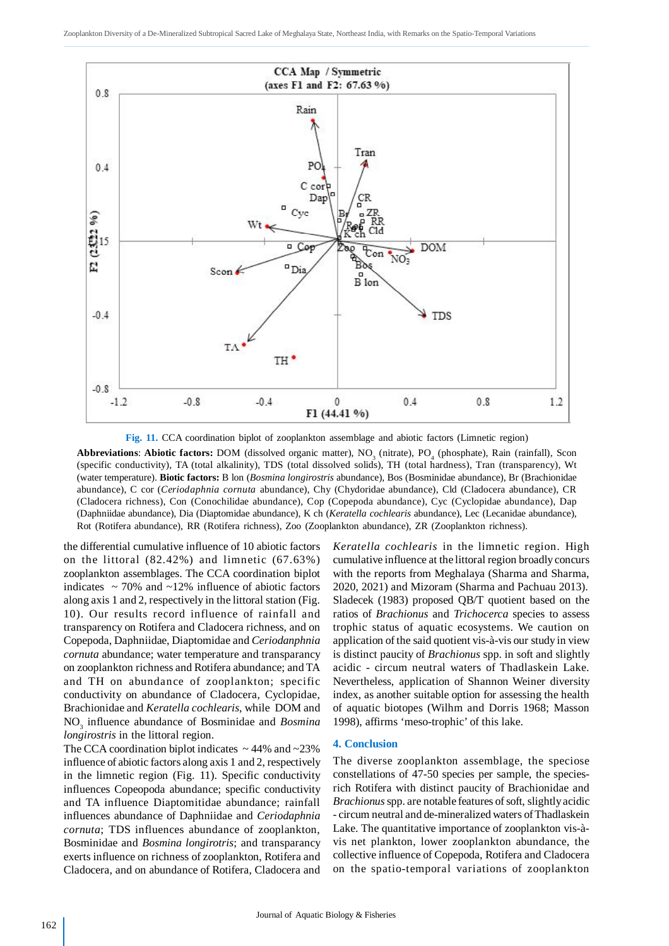

**Fig. 11.** CCA coordination biplot of zooplankton assemblage and abiotic factors (Limnetic region)

**Abbreviations: Abiotic factors:** DOM (dissolved organic matter), NO<sub>3</sub> (nitrate), PO<sub>4</sub> (phosphate), Rain (rainfall), Scon (specific conductivity), TA (total alkalinity), TDS (total dissolved solids), TH (total hardness), Tran (transparency), Wt (water temperature). **Biotic factors:** B lon (*Bosmina longirostris* abundance), Bos (Bosminidae abundance), Br (Brachionidae abundance), C cor (*Ceriodaphnia cornuta* abundance), Chy (Chydoridae abundance), Cld (Cladocera abundance), CR (Cladocera richness), Con (Conochilidae abundance), Cop (Copepoda abundance), Cyc (Cyclopidae abundance), Dap (Daphniidae abundance), Dia (Diaptomidae abundance), K ch (*Keratella cochlearis* abundance), Lec (Lecanidae abundance), Rot (Rotifera abundance), RR (Rotifera richness), Zoo (Zooplankton abundance), ZR (Zooplankton richness).

the differential cumulative influence of 10 abiotic factors on the littoral (82.42%) and limnetic (67.63%) zooplankton assemblages. The CCA coordination biplot indicates  $\sim$  70% and  $\sim$ 12% influence of abiotic factors along axis 1 and 2, respectively in the littoral station (Fig. 10). Our results record influence of rainfall and transparency on Rotifera and Cladocera richness, and on Copepoda, Daphniidae, Diaptomidae and *Ceriodanphnia cornuta* abundance; water temperature and transparancy on zooplankton richness and Rotifera abundance; and TA and TH on abundance of zooplankton; specific conductivity on abundance of Cladocera, Cyclopidae, Brachionidae and *Keratella cochlearis*, while DOM and NO<sub>3</sub> influence abundance of Bosminidae and *Bosmina longirostris* in the littoral region.

The CCA coordination biplot indicates  $\sim$  44% and  $\sim$ 23% influence of abiotic factors along axis 1 and 2, respectively in the limnetic region (Fig. 11). Specific conductivity influences Copeopoda abundance; specific conductivity and TA influence Diaptomitidae abundance; rainfall influences abundance of Daphniidae and *Ceriodaphnia cornuta*; TDS influences abundance of zooplankton, Bosminidae and *Bosmina longirotris*; and transparancy exerts influence on richness of zooplankton, Rotifera and Cladocera, and on abundance of Rotifera, Cladocera and *Keratella cochlearis* in the limnetic region. High cumulative influence at the littoral region broadly concurs with the reports from Meghalaya (Sharma and Sharma, 2020, 2021) and Mizoram (Sharma and Pachuau 2013). Sladecek (1983) proposed QB/T quotient based on the ratios of *Brachionus* and *Trichocerca* species to assess trophic status of aquatic ecosystems. We caution on application of the said quotient vis-à-vis our study in view is distinct paucity of *Brachionus* spp. in soft and slightly acidic - circum neutral waters of Thadlaskein Lake. Nevertheless, application of Shannon Weiner diversity index, as another suitable option for assessing the health of aquatic biotopes (Wilhm and Dorris 1968; Masson 1998), affirms 'meso-trophic' of this lake.

#### **4. Conclusion**

The diverse zooplankton assemblage, the speciose constellations of 47-50 species per sample, the speciesrich Rotifera with distinct paucity of Brachionidae and *Brachionus* spp. are notable features of soft, slightly acidic - circum neutral and de-mineralized waters of Thadlaskein Lake. The quantitative importance of zooplankton vis-àvis net plankton, lower zooplankton abundance, the collective influence of Copepoda, Rotifera and Cladocera on the spatio-temporal variations of zooplankton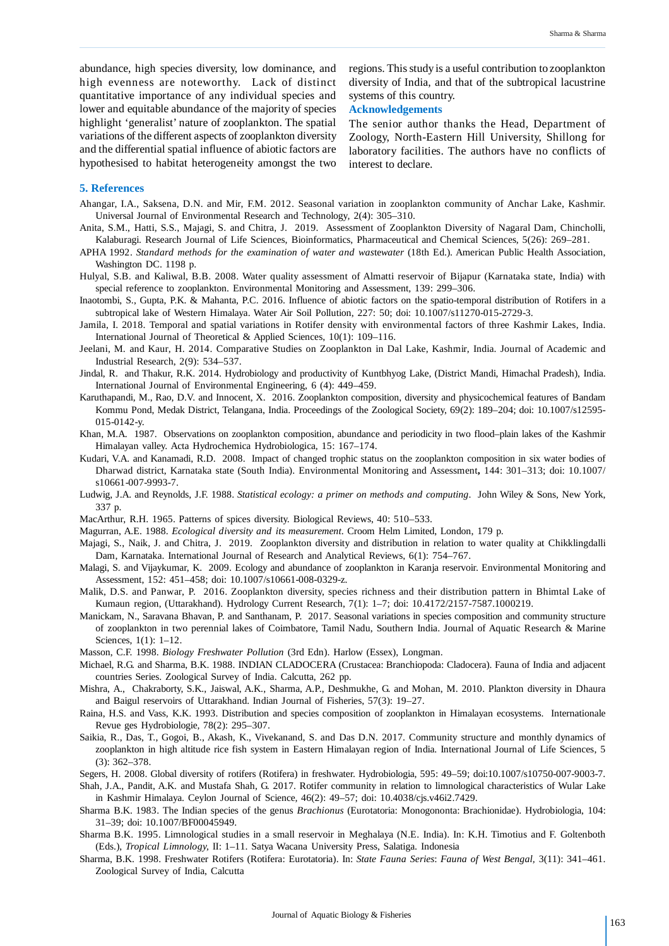abundance, high species diversity, low dominance, and high evenness are noteworthy. Lack of distinct quantitative importance of any individual species and lower and equitable abundance of the majority of species highlight 'generalist' nature of zooplankton. The spatial variations of the different aspects of zooplankton diversity and the differential spatial influence of abiotic factors are hypothesised to habitat heterogeneity amongst the two

regions. This study is a useful contribution to zooplankton diversity of India, and that of the subtropical lacustrine systems of this country.

#### **Acknowledgements**

The senior author thanks the Head, Department of Zoology, North-Eastern Hill University, Shillong for laboratory facilities. The authors have no conflicts of interest to declare.

#### **5. References**

- Ahangar, I.A., Saksena, D.N. and Mir, F.M. 2012. Seasonal variation in zooplankton community of Anchar Lake, Kashmir. Universal Journal of Environmental Research and Technology*,* 2(4): 305*–*310.
- Anita, S.M., Hatti, S.S., Majagi, S. and Chitra, J. 2019. Assessment of Zooplankton Diversity of Nagaral Dam, Chincholli, Kalaburagi. Research Journal of Life Sciences, Bioinformatics, Pharmaceutical and Chemical Sciences*,* 5(26): 269*–*281.
- APHA 1992. *Standard methods for the examination of water and was*te*water* (18th Ed.). American Public Health Association, Washington DC. 1198 p.
- Hulyal, S.B. and Kaliwal, B.B. 2008. Water quality assessment of Almatti reservoir of Bijapur (Karnataka state, India) with special reference to zooplankton. Environmental Monitoring and Assessment*,* 139: 299–306.
- Inaotombi, S., Gupta, P.K. & Mahanta, P.C. 2016. Influence of abiotic factors on the spatio-temporal distribution of Rotifers in a subtropical lake of Western Himalaya. Water Air Soil Pollution, 227: 50; doi: 10.1007/s11270-015-2729-3.
- Jamila, I. 2018. Temporal and spatial variations in Rotifer density with environmental factors of three Kashmir Lakes, India. International Journal of Theoretical & Applied Sciences, 10(1): 109–116.
- Jeelani, M. and Kaur, H. 2014. Comparative Studies on Zooplankton in Dal Lake, Kashmir, India. Journal of Academic and Industrial Research, 2(9): 534–537.
- Jindal, R. and Thakur, R.K. 2014. Hydrobiology and productivity of Kuntbhyog Lake, (District Mandi, Himachal Pradesh), India. International Journal of Environmental Engineering, 6 (4): 449–459.
- Karuthapandi, M., Rao, D.V. and Innocent, X. 2016. Zooplankton composition, diversity and physicochemical features of Bandam Kommu Pond, Medak District, Telangana, India. Proceedings of the Zoological Society, 69(2): 189–204; doi: 10.1007/s12595- 015-0142-y.
- Khan, M.A. 1987. Observations on zooplankton composition, abundance and periodicity in two flood–plain lakes of the Kashmir Himalayan valley. Acta Hydrochemica Hydrobiologica*,* 15: 167–174.
- Kudari, V.A. and Kanamadi, R.D. 2008. Impact of changed trophic status on the zooplankton composition in six water bodies of Dharwad district, Karnataka state (South India). Environmental Monitoring and Assessment**,** 144: 301–313; doi: 10.1007/ s10661-007-9993-7.
- Ludwig, J.A. and Reynolds, J.F. 1988. *Statistical ecology: a primer on methods and computing*. John Wiley & Sons, New York, 337 p.
- MacArthur, R.H. 1965. Patterns of spices diversity. Biological Reviews, 40: 510–533.
- Magurran, A.E. 1988. *Ecological diversity and its measurement*. Croom Helm Limited, London, 179 p.
- Majagi, S., Naik, J. and Chitra, J. 2019. Zooplankton diversity and distribution in relation to water quality at Chikklingdalli Dam, Karnataka. International Journal of Research and Analytical Reviews, 6(1): 754–767.
- Malagi, S. and Vijaykumar, K. 2009. Ecology and abundance of zooplankton in Karanja reservoir. Environmental Monitoring and Assessment, 152: 451–458; doi: 10.1007/s10661-008-0329-z.
- Malik, D.S. and Panwar, P. 2016. Zooplankton diversity, species richness and their distribution pattern in Bhimtal Lake of Kumaun region, (Uttarakhand). Hydrology Current Research, 7(1): 1*–*7; doi: 10.4172/2157-7587.1000219.
- Manickam, N., Saravana Bhavan, P. and Santhanam, P. 2017. Seasonal variations in species composition and community structure of zooplankton in two perennial lakes of Coimbatore, Tamil Nadu, Southern India. Journal of Aquatic Research & Marine Sciences, 1(1): 1–12.
- Masson, C.F. 1998. *Biology Freshwater Pollution* (3rd Edn). Harlow (Essex), Longman.
- Michael, R.G. and Sharma, B.K. 1988. INDIAN CLADOCERA (Crustacea: Branchiopoda: Cladocera). Fauna of India and adjacent countries Series. Zoological Survey of India. Calcutta, 262 pp.
- Mishra, A., Chakraborty, S.K., Jaiswal, A.K., Sharma, A.P., Deshmukhe, G. and Mohan, M. 2010. Plankton diversity in Dhaura and Baigul reservoirs of Uttarakhand. Indian Journal of Fisheries, 57(3): 19–27.
- Raina, H.S. and Vass, K.K. 1993. Distribution and species composition of zooplankton in Himalayan ecosystems. Internationale Revue ges Hydrobiologie*,* 78(2): 295–307.
- Saikia, R., Das, T., Gogoi, B., Akash, K., Vivekanand, S. and Das D.N. 2017. Community structure and monthly dynamics of zooplankton in high altitude rice fish system in Eastern Himalayan region of India. International Journal of Life Sciences, 5 (3): 362–378.
- Segers, H. 2008. Global diversity of rotifers (Rotifera) in freshwater. Hydrobiologia*,* 595: 49–59; doi:10.1007/s10750-007-9003-7.
- Shah, J.A., Pandit, A.K. and Mustafa Shah, G. 2017. Rotifer community in relation to limnological characteristics of Wular Lake in Kashmir Himalaya. Ceylon Journal of Science*,* 46(2): 49–57; doi: 10.4038/cjs.v46i2.7429.
- Sharma B.K. 1983. The Indian species of the genus *Brachionus* (Eurotatoria: Monogononta: Brachionidae). Hydrobiologia, 104: 31–39; doi: 10.1007/BF00045949.
- Sharma B.K. 1995. Limnological studies in a small reservoir in Meghalaya (N.E. India). In: K.H. Timotius and F. Goltenboth (Eds.), *Tropical Limnology,* II: 1–11. Satya Wacana University Press, Salatiga. Indonesia
- Sharma, B.K. 1998. Freshwater Rotifers (Rotifera: Eurotatoria). In: *State Fauna Series*: *Fauna of West Bengal,* 3(11): 341*–*461. Zoological Survey of India, Calcutta